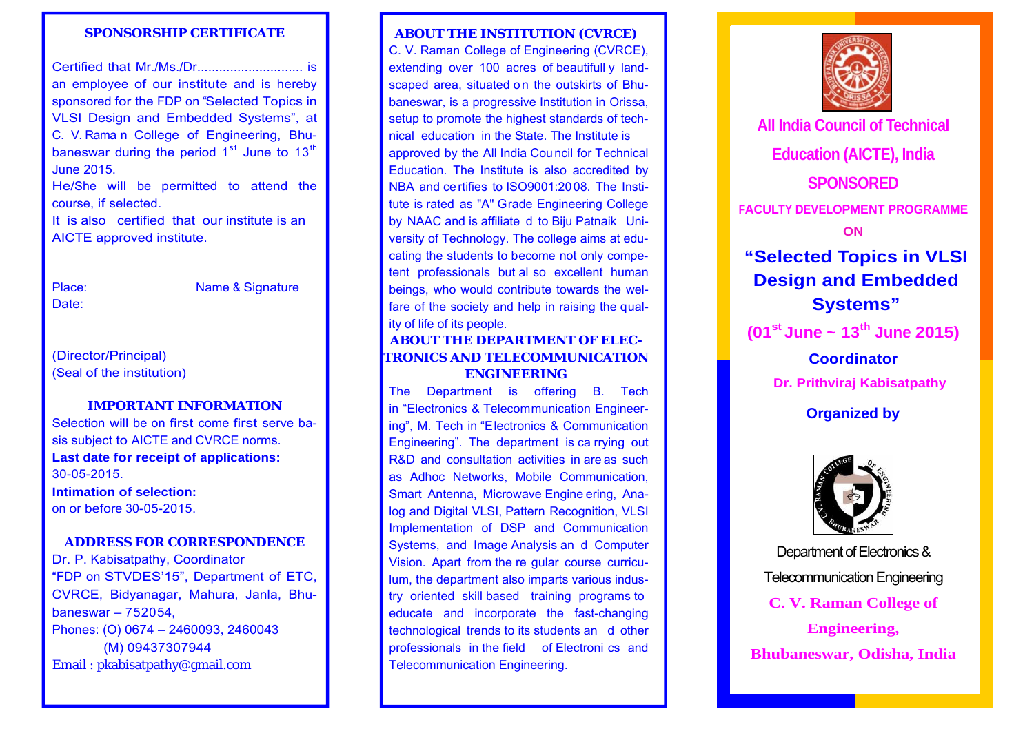#### **SPONSORSHIP CERTIFICATE**

Certified that Mr./Ms./Dr............................. is an employee of our institute and is hereby sponsored for the FDP on "Selected Topics in VLSI Design and Embedded Systems", at C. V. Rama n College of Engineering, Bhubaneswar during the period  $1<sup>st</sup>$  June to  $13<sup>th</sup>$ June 2015.

He/She will be permitted to attend the course, if selected.

It is also certified that our institute is an AICTE approved institute.

Place:Date:

Name & Signature

# (Director/Principal) (Seal of the institution)

#### **IMPORTANT INFORMATION**

Selection will be on first come first serve basis subject to AICTE and CVRCE norms. **Last date for receipt of applications:**  30-05-2015.**Intimation of selection:** on or before 30-05-2015.

#### **ADDRESS FOR CORRESPONDENCE**

Dr. P. Kabisatpathy, Coordinator "FDP on STVDES'15", Department of ETC, CVRCE, Bidyanagar, Mahura, Janla, Bhubaneswar – 752054, Phones: (O) 0674 – 2460093, 2460043 (M) 09437307944 Email : pkabisatpathy@gmail.com

#### **ABOUT THE INSTITUTION (CVRCE)**

C. V. Raman College of Engineering (CVRCE), extending over 100 acres of beautifull y landscaped area, situated on the outskirts of Bhubaneswar, is a progressive Institution in Orissa, setup to promote the highest standards of technical education in the State. The Institute is approved by the All India Council for Technical Education. The Institute is also accredited by NBA and certifies to ISO9001:2008. The Institute is rated as "A" Grade Engineering College by NAAC and is affiliate d to Biju Patnaik University of Technology. The college aims at educating the students to become not only competent professionals but al so excellent human beings, who would contribute towards the welfare of the society and help in raising the quality of life of its people.

# **ABOUT THE DEPARTMENT OF ELEC-TRONICS AND TELECOMMUNICATION ENGINEERING**

The Department is offering B. Tech in "Electronics & Telecommunication Engineering", M. Tech in "Electronics & Communication Engineering". The department is ca rrying out R&D and consultation activities in are as such as Adhoc Networks, Mobile Communication, Smart Antenna, Microwave Engine ering, Analog and Digital VLSI, Pattern Recognition, VLSI Implementation of DSP and Communication Systems, and Image Analysis an d Computer Vision. Apart from the re gular course curriculum, the department also imparts various industry oriented skill based training programs to educate and incorporate the fast-changing technological trends to its students an d other professionals in the field of Electroni cs and Telecommunication Engineering.



**All India Council of Technical Education (AICTE), India SPONSORED FACULTY DEVELOPMENT PROGRAMME ON "Selected Topics in VLSI Design and Embedded Systems" (01st June ~ 13th June 2015) CoordinatorDr. Prithviraj Kabisatpathy Organized by** 



**Engineering,** Department of Electronics & Telecommunication Engineering **C. V. Raman College of Bhubaneswar, Odisha, India**